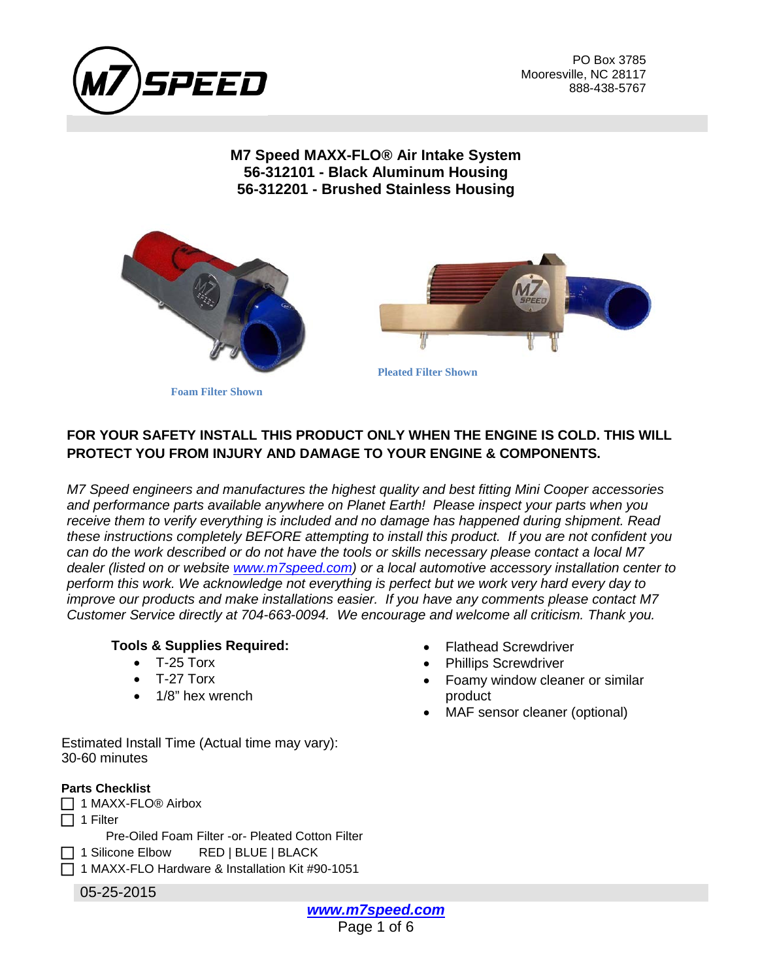

PO Box 3785 Mooresville, NC 28117 888-438-5767

### **M7 Speed MAXX-FLO® Air Intake System 56-312101 - Black Aluminum Housing 56-312201 - Brushed Stainless Housing**





**Foam Filter Shown**

# **FOR YOUR SAFETY INSTALL THIS PRODUCT ONLY WHEN THE ENGINE IS COLD. THIS WILL PROTECT YOU FROM INJURY AND DAMAGE TO YOUR ENGINE & COMPONENTS.**

*M7 Speed engineers and manufactures the highest quality and best fitting Mini Cooper accessories and performance parts available anywhere on Planet Earth! Please inspect your parts when you receive them to verify everything is included and no damage has happened during shipment. Read these instructions completely BEFORE attempting to install this product. If you are not confident you can do the work described or do not have the tools or skills necessary please contact a local M7 dealer (listed on or website [www.m7speed.com\)](http://www.m7speed.com/) or a local automotive accessory installation center to perform this work. We acknowledge not everything is perfect but we work very hard every day to improve our products and make installations easier. If you have any comments please contact M7 Customer Service directly at 704-663-0094. We encourage and welcome all criticism. Thank you.*

#### **Tools & Supplies Required:**

- $\bullet$  T-25 Torx
- T-27 Torx
- 1/8" hex wrench
- Flathead Screwdriver
- Phillips Screwdriver
- Foamy window cleaner or similar product
- MAF sensor cleaner (optional)

Estimated Install Time (Actual time may vary): 30-60 minutes

#### **Parts Checklist**

05-25-2015 □ 1 MAXX-FLO<sup>®</sup> Airbox  $\Box$  1 Filter Pre-Oiled Foam Filter -or- Pleated Cotton Filter □ 1 Silicone Elbow RED | BLUE | BLACK  $\Box$  1 MAXX-FLO Hardware & Installation Kit #90-1051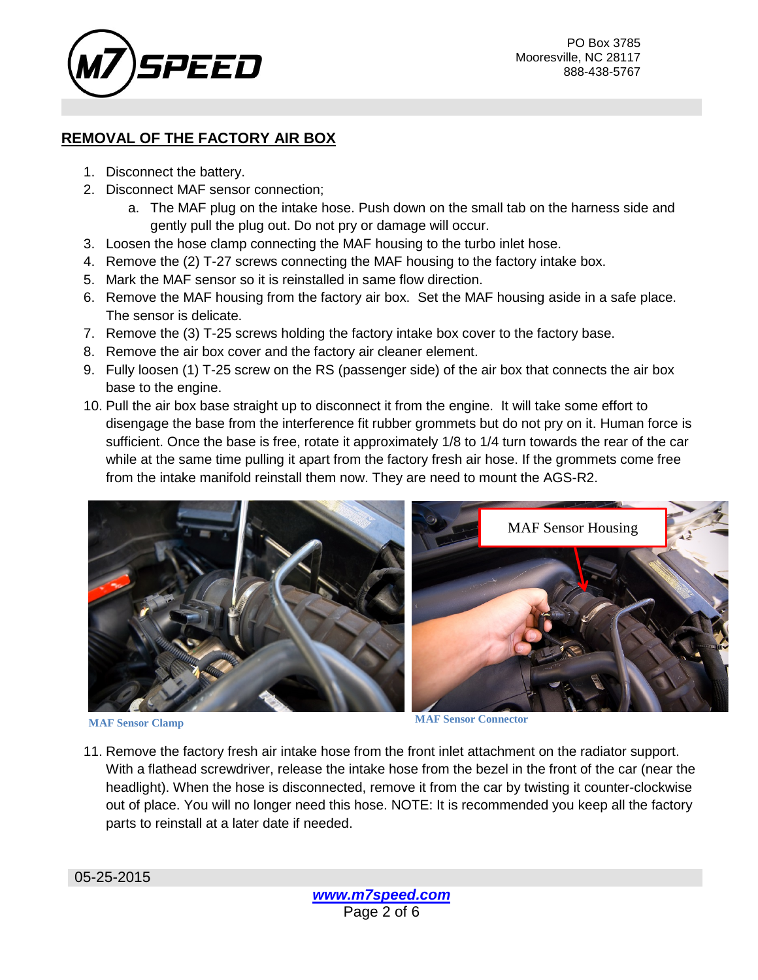

## **REMOVAL OF THE FACTORY AIR BOX**

- 1. Disconnect the battery.
- 2. Disconnect MAF sensor connection;
	- a. The MAF plug on the intake hose. Push down on the small tab on the harness side and gently pull the plug out. Do not pry or damage will occur.
- 3. Loosen the hose clamp connecting the MAF housing to the turbo inlet hose.
- 4. Remove the (2) T-27 screws connecting the MAF housing to the factory intake box.
- 5. Mark the MAF sensor so it is reinstalled in same flow direction.
- 6. Remove the MAF housing from the factory air box. Set the MAF housing aside in a safe place. The sensor is delicate.
- 7. Remove the (3) T-25 screws holding the factory intake box cover to the factory base.
- 8. Remove the air box cover and the factory air cleaner element.
- 9. Fully loosen (1) T-25 screw on the RS (passenger side) of the air box that connects the air box base to the engine.
- 10. Pull the air box base straight up to disconnect it from the engine. It will take some effort to disengage the base from the interference fit rubber grommets but do not pry on it. Human force is sufficient. Once the base is free, rotate it approximately 1/8 to 1/4 turn towards the rear of the car while at the same time pulling it apart from the factory fresh air hose. If the grommets come free from the intake manifold reinstall them now. They are need to mount the AGS-R2.



**MAF Sensor Clamp MAF Sensor Connector**

11. Remove the factory fresh air intake hose from the front inlet attachment on the radiator support. With a flathead screwdriver, release the intake hose from the bezel in the front of the car (near the headlight). When the hose is disconnected, remove it from the car by twisting it counter-clockwise out of place. You will no longer need this hose. NOTE: It is recommended you keep all the factory parts to reinstall at a later date if needed.

05-25-2015

*[www.m7speed.com](http://www.m7speed.com/)* Page 2 of 6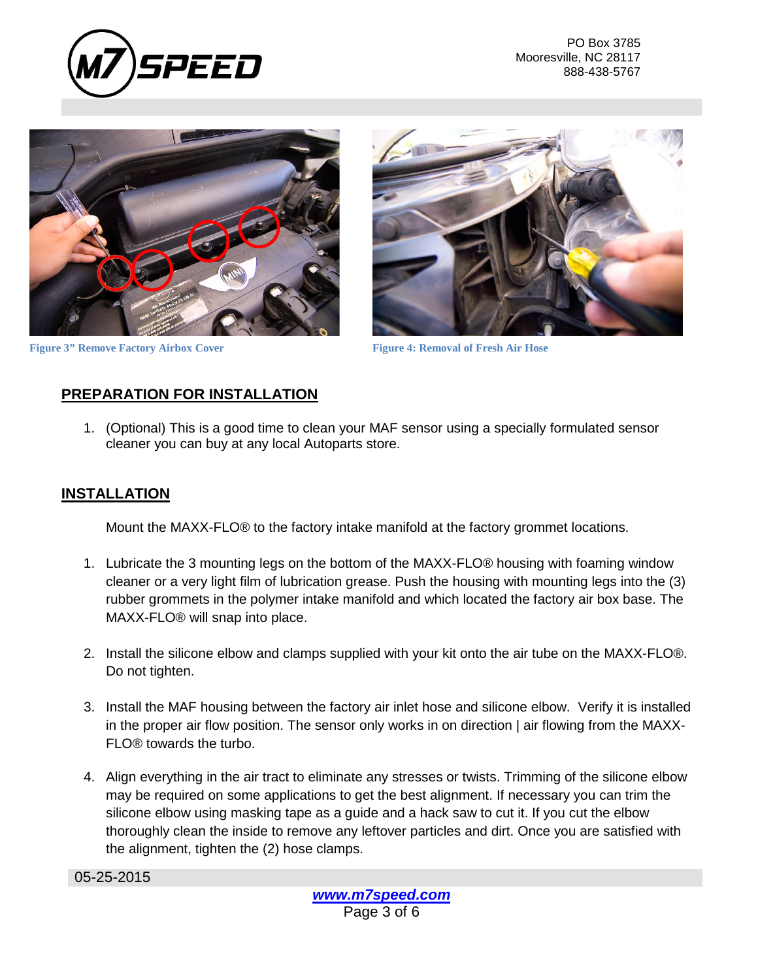

PO Box 3785 Mooresville, NC 28117 888-438-5767





**Figure 3" Remove Factory Airbox Cover Figure 4: Removal of Fresh Air Hose** 

# **PREPARATION FOR INSTALLATION**

1. (Optional) This is a good time to clean your MAF sensor using a specially formulated sensor cleaner you can buy at any local Autoparts store.

### **INSTALLATION**

Mount the MAXX-FLO® to the factory intake manifold at the factory grommet locations.

- 1. Lubricate the 3 mounting legs on the bottom of the MAXX-FLO® housing with foaming window cleaner or a very light film of lubrication grease. Push the housing with mounting legs into the (3) rubber grommets in the polymer intake manifold and which located the factory air box base. The MAXX-FLO® will snap into place.
- 2. Install the silicone elbow and clamps supplied with your kit onto the air tube on the MAXX-FLO®. Do not tighten.
- 3. Install the MAF housing between the factory air inlet hose and silicone elbow. Verify it is installed in the proper air flow position. The sensor only works in on direction | air flowing from the MAXX-FLO® towards the turbo.
- 4. Align everything in the air tract to eliminate any stresses or twists. Trimming of the silicone elbow may be required on some applications to get the best alignment. If necessary you can trim the silicone elbow using masking tape as a guide and a hack saw to cut it. If you cut the elbow thoroughly clean the inside to remove any leftover particles and dirt. Once you are satisfied with the alignment, tighten the (2) hose clamps.

05-25-2015